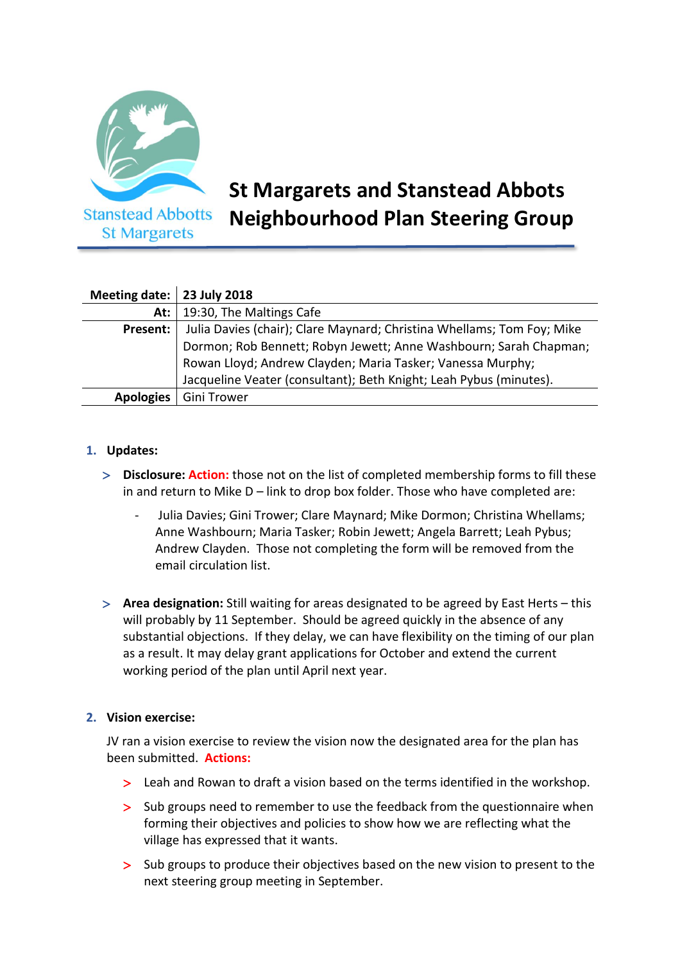

# **St Margarets and Stanstead Abbots Neighbourhood Plan Steering Group**

| Meeting date: $\vert$ 23 July 2018 |                                                                        |
|------------------------------------|------------------------------------------------------------------------|
| At: $\vert$                        | 19:30, The Maltings Cafe                                               |
| Present:                           | Julia Davies (chair); Clare Maynard; Christina Whellams; Tom Foy; Mike |
|                                    | Dormon; Rob Bennett; Robyn Jewett; Anne Washbourn; Sarah Chapman;      |
|                                    | Rowan Lloyd; Andrew Clayden; Maria Tasker; Vanessa Murphy;             |
|                                    | Jacqueline Veater (consultant); Beth Knight; Leah Pybus (minutes).     |
| <b>Apologies</b>                   | <b>Gini Trower</b>                                                     |

### **1. Updates:**

- **Disclosure: Action:** those not on the list of completed membership forms to fill these in and return to Mike D – link to drop box folder. Those who have completed are:
	- Julia Davies; Gini Trower; Clare Maynard; Mike Dormon; Christina Whellams; Anne Washbourn; Maria Tasker; Robin Jewett; Angela Barrett; Leah Pybus; Andrew Clayden. Those not completing the form will be removed from the email circulation list.
- **Area designation:** Still waiting for areas designated to be agreed by East Herts this will probably by 11 September. Should be agreed quickly in the absence of any substantial objections. If they delay, we can have flexibility on the timing of our plan as a result. It may delay grant applications for October and extend the current working period of the plan until April next year.

#### **2. Vision exercise:**

JV ran a vision exercise to review the vision now the designated area for the plan has been submitted. **Actions:**

- Leah and Rowan to draft a vision based on the terms identified in the workshop.
- Sub groups need to remember to use the feedback from the questionnaire when forming their objectives and policies to show how we are reflecting what the village has expressed that it wants.
- Sub groups to produce their objectives based on the new vision to present to the next steering group meeting in September.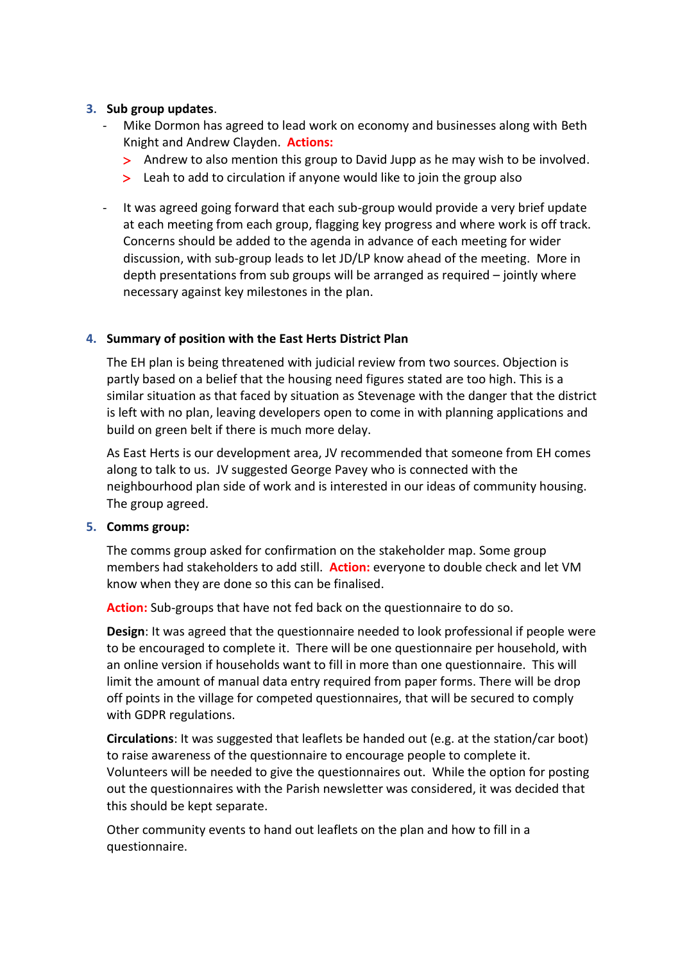### **3. Sub group updates**.

- Mike Dormon has agreed to lead work on economy and businesses along with Beth Knight and Andrew Clayden. **Actions:** 
	- Andrew to also mention this group to David Jupp as he may wish to be involved.
	- > Leah to add to circulation if anyone would like to join the group also
- It was agreed going forward that each sub-group would provide a very brief update at each meeting from each group, flagging key progress and where work is off track. Concerns should be added to the agenda in advance of each meeting for wider discussion, with sub-group leads to let JD/LP know ahead of the meeting. More in depth presentations from sub groups will be arranged as required – jointly where necessary against key milestones in the plan.

### **4. Summary of position with the East Herts District Plan**

The EH plan is being threatened with judicial review from two sources. Objection is partly based on a belief that the housing need figures stated are too high. This is a similar situation as that faced by situation as Stevenage with the danger that the district is left with no plan, leaving developers open to come in with planning applications and build on green belt if there is much more delay.

As East Herts is our development area, JV recommended that someone from EH comes along to talk to us. JV suggested George Pavey who is connected with the neighbourhood plan side of work and is interested in our ideas of community housing. The group agreed.

#### **5. Comms group:**

The comms group asked for confirmation on the stakeholder map. Some group members had stakeholders to add still. **Action:** everyone to double check and let VM know when they are done so this can be finalised.

**Action:** Sub-groups that have not fed back on the questionnaire to do so.

**Design**: It was agreed that the questionnaire needed to look professional if people were to be encouraged to complete it. There will be one questionnaire per household, with an online version if households want to fill in more than one questionnaire. This will limit the amount of manual data entry required from paper forms. There will be drop off points in the village for competed questionnaires, that will be secured to comply with GDPR regulations.

**Circulations**: It was suggested that leaflets be handed out (e.g. at the station/car boot) to raise awareness of the questionnaire to encourage people to complete it. Volunteers will be needed to give the questionnaires out. While the option for posting out the questionnaires with the Parish newsletter was considered, it was decided that this should be kept separate.

Other community events to hand out leaflets on the plan and how to fill in a questionnaire.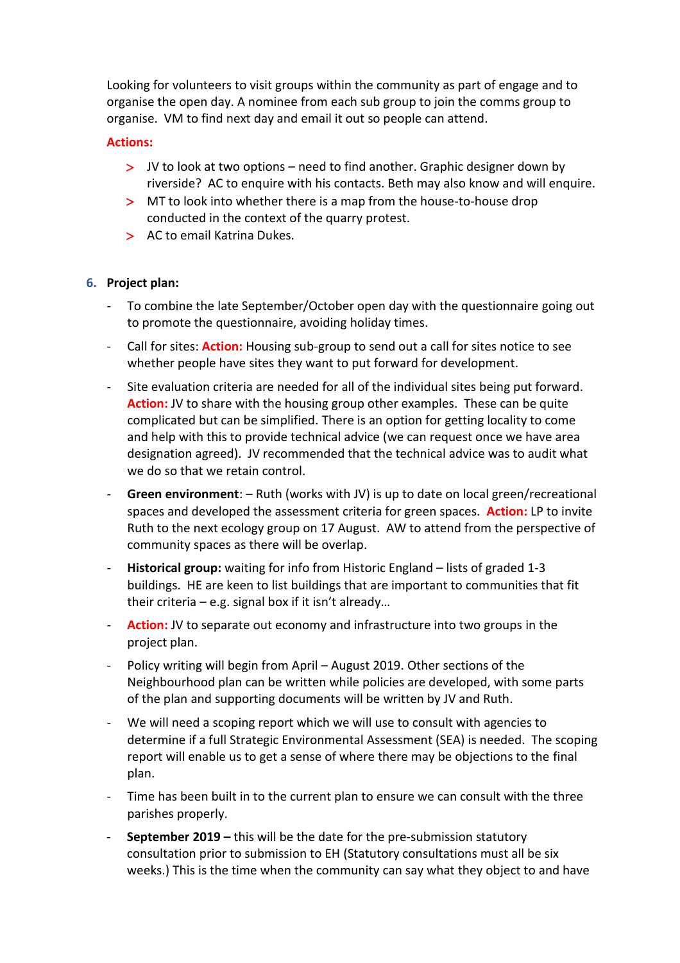Looking for volunteers to visit groups within the community as part of engage and to organise the open day. A nominee from each sub group to join the comms group to organise. VM to find next day and email it out so people can attend.

### **Actions:**

- JV to look at two options need to find another. Graphic designer down by riverside? AC to enquire with his contacts. Beth may also know and will enquire.
- > MT to look into whether there is a map from the house-to-house drop conducted in the context of the quarry protest.
- > AC to email Katrina Dukes.

## **6. Project plan:**

- To combine the late September/October open day with the questionnaire going out to promote the questionnaire, avoiding holiday times.
- Call for sites: **Action:** Housing sub-group to send out a call for sites notice to see whether people have sites they want to put forward for development.
- Site evaluation criteria are needed for all of the individual sites being put forward. **Action:** JV to share with the housing group other examples. These can be quite complicated but can be simplified. There is an option for getting locality to come and help with this to provide technical advice (we can request once we have area designation agreed). JV recommended that the technical advice was to audit what we do so that we retain control.
- **Green environment**: Ruth (works with JV) is up to date on local green/recreational spaces and developed the assessment criteria for green spaces. **Action:** LP to invite Ruth to the next ecology group on 17 August. AW to attend from the perspective of community spaces as there will be overlap.
- **Historical group:** waiting for info from Historic England lists of graded 1-3 buildings. HE are keen to list buildings that are important to communities that fit their criteria – e.g. signal box if it isn't already...
- Action: JV to separate out economy and infrastructure into two groups in the project plan.
- Policy writing will begin from April August 2019. Other sections of the Neighbourhood plan can be written while policies are developed, with some parts of the plan and supporting documents will be written by JV and Ruth.
- We will need a scoping report which we will use to consult with agencies to determine if a full Strategic Environmental Assessment (SEA) is needed. The scoping report will enable us to get a sense of where there may be objections to the final plan.
- Time has been built in to the current plan to ensure we can consult with the three parishes properly.
- **September 2019 –** this will be the date for the pre-submission statutory consultation prior to submission to EH (Statutory consultations must all be six weeks.) This is the time when the community can say what they object to and have